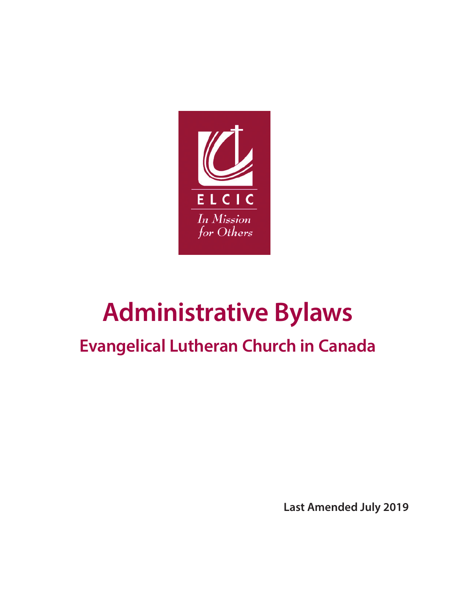

# **Administrative Bylaws**

## **Evangelical Lutheran Church in Canada**

**Last Amended July 2019**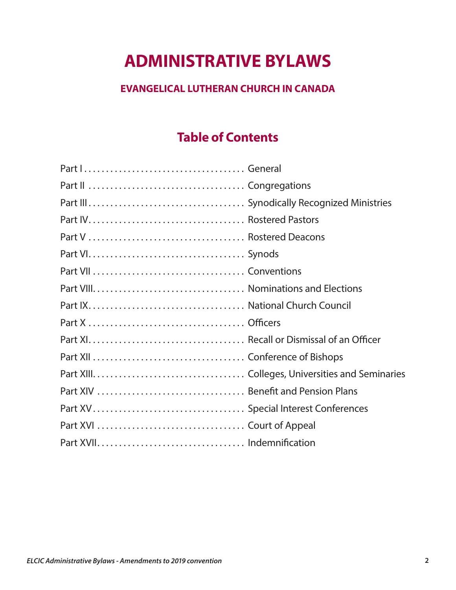## **ADMINISTRATIVE BYLAWS**

## **EVANGELICAL LUTHERAN CHURCH IN CANADA**

## **Table of Contents**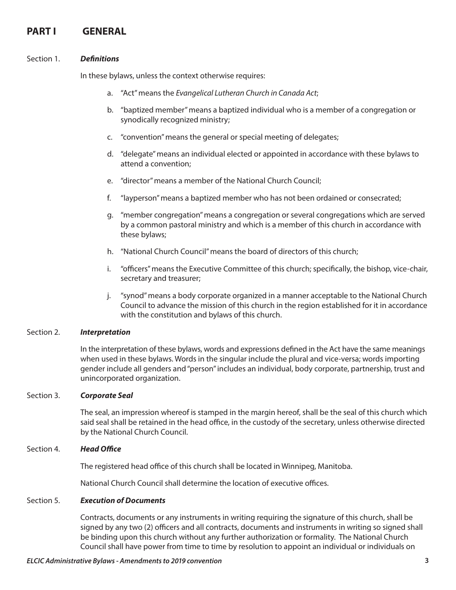## PART **I** GENERAL

#### Section 1. *Definitions*

In these bylaws, unless the context otherwise requires:

- a. "Act" means the *Evangelical Lutheran Church in Canada Act*;
- b. "baptized member" means a baptized individual who is a member of a congregation or synodically recognized ministry;
- c. "convention" means the general or special meeting of delegates;
- d. "delegate" means an individual elected or appointed in accordance with these bylaws to attend a convention;
- e. "director" means a member of the National Church Council;
- f. "layperson" means a baptized member who has not been ordained or consecrated;
- g. "member congregation" means a congregation or several congregations which are served by a common pastoral ministry and which is a member of this church in accordance with these bylaws;
- h. "National Church Council" means the board of directors of this church;
- i. "officers" means the Executive Committee of this church; specifically, the bishop, vice-chair, secretary and treasurer;
- j. "synod" means a body corporate organized in a manner acceptable to the National Church Council to advance the mission of this church in the region established for it in accordance with the constitution and bylaws of this church.

#### Section 2. *Interpretation*

In the interpretation of these bylaws, words and expressions defined in the Act have the same meanings when used in these bylaws. Words in the singular include the plural and vice-versa; words importing gender include all genders and "person" includes an individual, body corporate, partnership, trust and unincorporated organization.

#### Section 3. *Corporate Seal*

The seal, an impression whereof is stamped in the margin hereof, shall be the seal of this church which said seal shall be retained in the head office, in the custody of the secretary, unless otherwise directed by the National Church Council.

#### Section 4. *Head Office*

The registered head office of this church shall be located in Winnipeg, Manitoba.

National Church Council shall determine the location of executive offices.

#### Section 5. *Execution of Documents*

Contracts, documents or any instruments in writing requiring the signature of this church, shall be signed by any two (2) officers and all contracts, documents and instruments in writing so signed shall be binding upon this church without any further authorization or formality. The National Church Council shall have power from time to time by resolution to appoint an individual or individuals on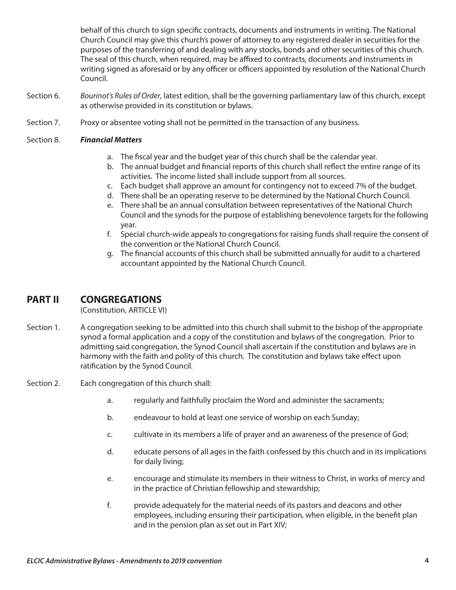behalf of this church to sign specific contracts, documents and instruments in writing. The National Church Council may give this church's power of attorney to any registered dealer in securities for the purposes of the transferring of and dealing with any stocks, bonds and other securities of this church. The seal of this church, when required, may be affixed to contracts, documents and instruments in writing signed as aforesaid or by any officer or officers appointed by resolution of the National Church Council.

- Section 6. *Bourinot's Rules of Order*, latest edition, shall be the governing parliamentary law of this church, except as otherwise provided in its constitution or bylaws.
- Section 7. Proxy or absentee voting shall not be permitted in the transaction of any business.

#### Section 8. *Financial Matters*

- a. The fiscal year and the budget year of this church shall be the calendar year.
- b. The annual budget and financial reports of this church shall reflect the entire range of its activities. The income listed shall include support from all sources.
- c. Each budget shall approve an amount for contingency not to exceed 7% of the budget.
- d. There shall be an operating reserve to be determined by the National Church Council.
- e. There shall be an annual consultation between representatives of the National Church Council and the synods for the purpose of establishing benevolence targets for the following year.
- f. Special church-wide appeals to congregations for raising funds shall require the consent of the convention or the National Church Council.
- g. The financial accounts of this church shall be submitted annually for audit to a chartered accountant appointed by the National Church Council.

## **PART II CONGREGATIONS**

(Constitution, ARTICLE VI)

- Section 1. A congregation seeking to be admitted into this church shall submit to the bishop of the appropriate synod a formal application and a copy of the constitution and bylaws of the congregation. Prior to admitting said congregation, the Synod Council shall ascertain if the constitution and bylaws are in harmony with the faith and polity of this church. The constitution and bylaws take effect upon ratification by the Synod Council.
- Section 2. Each congregation of this church shall:
	- a. regularly and faithfully proclaim the Word and administer the sacraments;
	- b. endeavour to hold at least one service of worship on each Sunday;
	- c. cultivate in its members a life of prayer and an awareness of the presence of God;
	- d. educate persons of all ages in the faith confessed by this church and in its implications for daily living;
	- e. encourage and stimulate its members in their witness to Christ, in works of mercy and in the practice of Christian fellowship and stewardship;
	- f. provide adequately for the material needs of its pastors and deacons and other employees, including ensuring their participation, when eligible, in the benefit plan and in the pension plan as set out in Part XIV;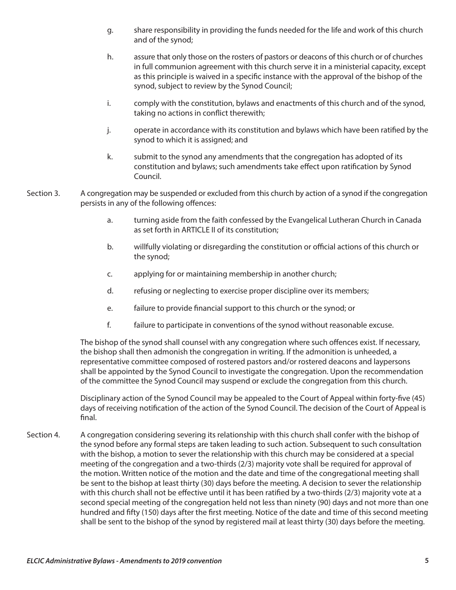- g. share responsibility in providing the funds needed for the life and work of this church and of the synod;
- h. assure that only those on the rosters of pastors or deacons of this church or of churches in full communion agreement with this church serve it in a ministerial capacity, except as this principle is waived in a specific instance with the approval of the bishop of the synod, subject to review by the Synod Council;
- i. comply with the constitution, bylaws and enactments of this church and of the synod, taking no actions in conflict therewith;
- j. operate in accordance with its constitution and bylaws which have been ratified by the synod to which it is assigned; and
- k. submit to the synod any amendments that the congregation has adopted of its constitution and bylaws; such amendments take effect upon ratification by Synod Council.
- Section 3. A congregation may be suspended or excluded from this church by action of a synod if the congregation persists in any of the following offences:
	- a. turning aside from the faith confessed by the Evangelical Lutheran Church in Canada as set forth in ARTICLE II of its constitution;
	- b. willfully violating or disregarding the constitution or official actions of this church or the synod;
	- c. applying for or maintaining membership in another church;
	- d. refusing or neglecting to exercise proper discipline over its members;
	- e. failure to provide financial support to this church or the synod; or
	- f. failure to participate in conventions of the synod without reasonable excuse.

The bishop of the synod shall counsel with any congregation where such offences exist. If necessary, the bishop shall then admonish the congregation in writing. If the admonition is unheeded, a representative committee composed of rostered pastors and/or rostered deacons and laypersons shall be appointed by the Synod Council to investigate the congregation. Upon the recommendation of the committee the Synod Council may suspend or exclude the congregation from this church.

Disciplinary action of the Synod Council may be appealed to the Court of Appeal within forty-five (45) days of receiving notification of the action of the Synod Council. The decision of the Court of Appeal is final.

Section 4. A congregation considering severing its relationship with this church shall confer with the bishop of the synod before any formal steps are taken leading to such action. Subsequent to such consultation with the bishop, a motion to sever the relationship with this church may be considered at a special meeting of the congregation and a two-thirds (2/3) majority vote shall be required for approval of the motion. Written notice of the motion and the date and time of the congregational meeting shall be sent to the bishop at least thirty (30) days before the meeting. A decision to sever the relationship with this church shall not be effective until it has been ratified by a two-thirds (2/3) majority vote at a second special meeting of the congregation held not less than ninety (90) days and not more than one hundred and fifty (150) days after the first meeting. Notice of the date and time of this second meeting shall be sent to the bishop of the synod by registered mail at least thirty (30) days before the meeting.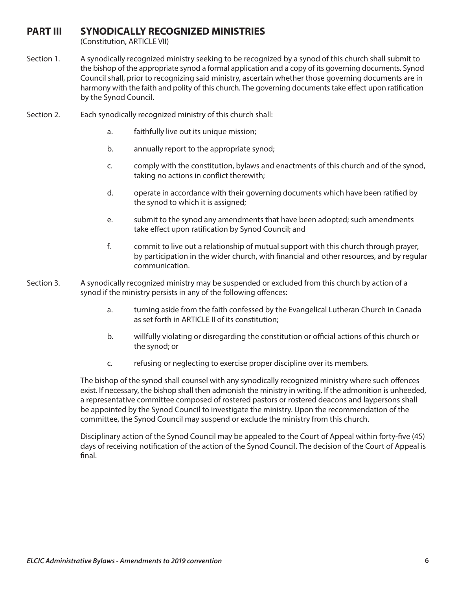## **PART III SYNODICALLY RECOGNIZED MINISTRIES**

(Constitution, ARTICLE VII)

- Section 1. A synodically recognized ministry seeking to be recognized by a synod of this church shall submit to the bishop of the appropriate synod a formal application and a copy of its governing documents. Synod Council shall, prior to recognizing said ministry, ascertain whether those governing documents are in harmony with the faith and polity of this church. The governing documents take effect upon ratification by the Synod Council.
- Section 2. Each synodically recognized ministry of this church shall:
	- a. faithfully live out its unique mission;
	- b. annually report to the appropriate synod;
	- c. comply with the constitution, bylaws and enactments of this church and of the synod, taking no actions in conflict therewith;
	- d. operate in accordance with their governing documents which have been ratified by the synod to which it is assigned;
	- e. submit to the synod any amendments that have been adopted; such amendments take effect upon ratification by Synod Council; and
	- f. commit to live out a relationship of mutual support with this church through prayer, by participation in the wider church, with financial and other resources, and by regular communication.
- Section 3. A synodically recognized ministry may be suspended or excluded from this church by action of a synod if the ministry persists in any of the following offences:
	- a. turning aside from the faith confessed by the Evangelical Lutheran Church in Canada as set forth in ARTICLE II of its constitution;
	- b. willfully violating or disregarding the constitution or official actions of this church or the synod; or
	- c. refusing or neglecting to exercise proper discipline over its members.

The bishop of the synod shall counsel with any synodically recognized ministry where such offences exist. If necessary, the bishop shall then admonish the ministry in writing. If the admonition is unheeded, a representative committee composed of rostered pastors or rostered deacons and laypersons shall be appointed by the Synod Council to investigate the ministry. Upon the recommendation of the committee, the Synod Council may suspend or exclude the ministry from this church.

Disciplinary action of the Synod Council may be appealed to the Court of Appeal within forty-five (45) days of receiving notification of the action of the Synod Council. The decision of the Court of Appeal is final.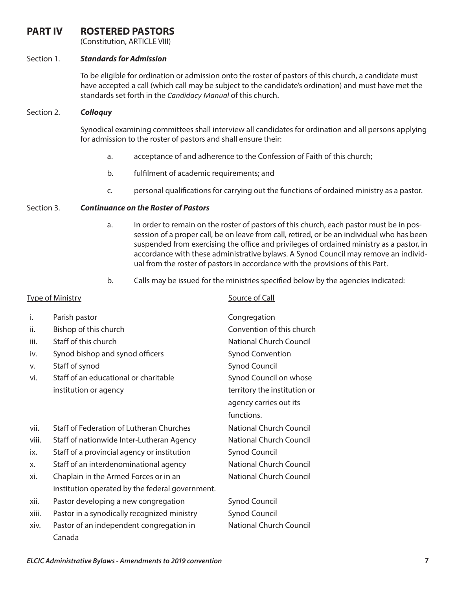## **PART IV ROSTERED PASTORS**

(Constitution, ARTICLE VIII)

#### Section 1. *Standards for Admission*

To be eligible for ordination or admission onto the roster of pastors of this church, a candidate must have accepted a call (which call may be subject to the candidate's ordination) and must have met the standards set forth in the *Candidacy Manual* of this church.

#### Section 2. *Colloquy*

Synodical examining committees shall interview all candidates for ordination and all persons applying for admission to the roster of pastors and shall ensure their:

- a. acceptance of and adherence to the Confession of Faith of this church;
- b. fulfilment of academic requirements; and
- c. personal qualifications for carrying out the functions of ordained ministry as a pastor.

#### Section 3. *Continuance on the Roster of Pastors*

- a. In order to remain on the roster of pastors of this church, each pastor must be in possession of a proper call, be on leave from call, retired, or be an individual who has been suspended from exercising the office and privileges of ordained ministry as a pastor, in accordance with these administrative bylaws. A Synod Council may remove an individual from the roster of pastors in accordance with the provisions of this Part.
- b. Calls may be issued for the ministries specified below by the agencies indicated:

## Type of Ministry **Source of Call** i. Parish pastor Congregation ii. Bishop of this church Convention of this church iii. Staff of this church National Church Council iv. Synod bishop and synod officers Synod Convention v. Staff of synod Synod Council vi. Staff of an educational or charitable Synod Council on whose institution or agency the institution or  $\frac{d}{dx}$  territory the institution or agency carries out its functions. vii. Staff of Federation of Lutheran Churches National Church Council viii. Staff of nationwide Inter-Lutheran Agency National Church Council ix. Staff of a provincial agency or institution Synod Council x. Staff of an interdenominational agency National Church Council xi. Chaplain in the Armed Forces or in an National Church Council institution operated by the federal government. xii. Pastor developing a new congregation Synod Council xiii. Pastor in a synodically recognized ministry Synod Council xiv. Pastor of an independent congregation in National Church Council Canada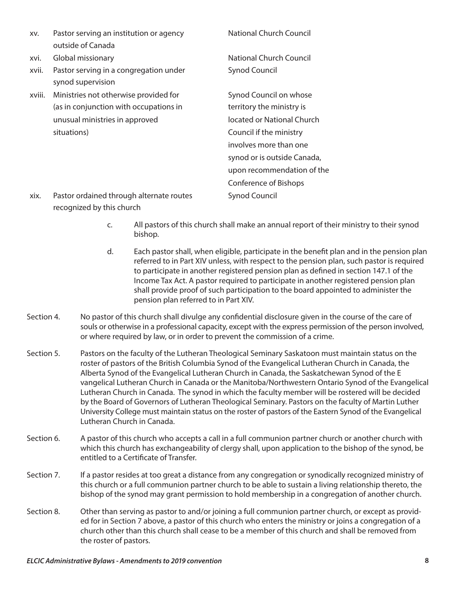| XV.    | Pastor serving an institution or agency                     | <b>National Church Council</b> |
|--------|-------------------------------------------------------------|--------------------------------|
|        | outside of Canada                                           |                                |
| xvi.   | Global missionary                                           | National Church Council        |
| xvii.  | Pastor serving in a congregation under<br>synod supervision | <b>Synod Council</b>           |
| xviii. | Ministries not otherwise provided for                       | Synod Council on whose         |
|        | (as in conjunction with occupations in                      | territory the ministry is      |
|        | unusual ministries in approved                              | located or National Church     |
|        | situations)                                                 | Council if the ministry        |
|        |                                                             | involves more than one         |
|        |                                                             | synod or is outside Canada,    |
|        |                                                             | upon recommendation of the     |
|        |                                                             | Conference of Bishops          |
| xix.   | Pastor ordained through alternate routes                    | <b>Synod Council</b>           |

xix. Pastor ordained through alternate routes recognized by this church

> c. All pastors of this church shall make an annual report of their ministry to their synod bishop.

- d. Each pastor shall, when eligible, participate in the benefit plan and in the pension plan referred to in Part XIV unless, with respect to the pension plan, such pastor is required to participate in another registered pension plan as defined in section 147.1 of the Income Tax Act. A pastor required to participate in another registered pension plan shall provide proof of such participation to the board appointed to administer the pension plan referred to in Part XIV.
- Section 4. No pastor of this church shall divulge any confidential disclosure given in the course of the care of souls or otherwise in a professional capacity, except with the express permission of the person involved, or where required by law, or in order to prevent the commission of a crime.
- Section 5. Pastors on the faculty of the Lutheran Theological Seminary Saskatoon must maintain status on the roster of pastors of the British Columbia Synod of the Evangelical Lutheran Church in Canada, the Alberta Synod of the Evangelical Lutheran Church in Canada, the Saskatchewan Synod of the E vangelical Lutheran Church in Canada or the Manitoba/Northwestern Ontario Synod of the Evangelical Lutheran Church in Canada. The synod in which the faculty member will be rostered will be decided by the Board of Governors of Lutheran Theological Seminary. Pastors on the faculty of Martin Luther University College must maintain status on the roster of pastors of the Eastern Synod of the Evangelical Lutheran Church in Canada.
- Section 6. A pastor of this church who accepts a call in a full communion partner church or another church with which this church has exchangeability of clergy shall, upon application to the bishop of the synod, be entitled to a Certificate of Transfer.
- Section 7. If a pastor resides at too great a distance from any congregation or synodically recognized ministry of this church or a full communion partner church to be able to sustain a living relationship thereto, the bishop of the synod may grant permission to hold membership in a congregation of another church.
- Section 8. Other than serving as pastor to and/or joining a full communion partner church, or except as provided for in Section 7 above, a pastor of this church who enters the ministry or joins a congregation of a church other than this church shall cease to be a member of this church and shall be removed from the roster of pastors.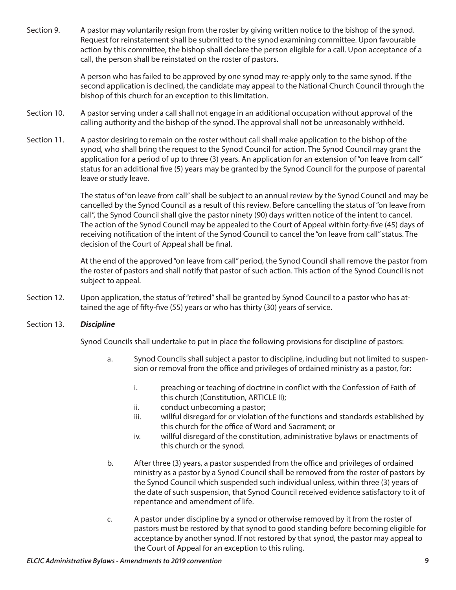Section 9. A pastor may voluntarily resign from the roster by giving written notice to the bishop of the synod. Request for reinstatement shall be submitted to the synod examining committee. Upon favourable action by this committee, the bishop shall declare the person eligible for a call. Upon acceptance of a call, the person shall be reinstated on the roster of pastors.

> A person who has failed to be approved by one synod may re-apply only to the same synod. If the second application is declined, the candidate may appeal to the National Church Council through the bishop of this church for an exception to this limitation.

- Section 10. A pastor serving under a call shall not engage in an additional occupation without approval of the calling authority and the bishop of the synod. The approval shall not be unreasonably withheld.
- Section 11. A pastor desiring to remain on the roster without call shall make application to the bishop of the synod, who shall bring the request to the Synod Council for action. The Synod Council may grant the application for a period of up to three (3) years. An application for an extension of "on leave from call" status for an additional five (5) years may be granted by the Synod Council for the purpose of parental leave or study leave.

The status of "on leave from call" shall be subject to an annual review by the Synod Council and may be cancelled by the Synod Council as a result of this review. Before cancelling the status of "on leave from call", the Synod Council shall give the pastor ninety (90) days written notice of the intent to cancel. The action of the Synod Council may be appealed to the Court of Appeal within forty-five (45) days of receiving notification of the intent of the Synod Council to cancel the "on leave from call" status. The decision of the Court of Appeal shall be final.

At the end of the approved "on leave from call" period, the Synod Council shall remove the pastor from the roster of pastors and shall notify that pastor of such action. This action of the Synod Council is not subject to appeal.

Section 12. Upon application, the status of "retired" shall be granted by Synod Council to a pastor who has attained the age of fifty-five (55) years or who has thirty (30) years of service.

#### Section 13. *Discipline*

Synod Councils shall undertake to put in place the following provisions for discipline of pastors:

- a. Synod Councils shall subject a pastor to discipline, including but not limited to suspension or removal from the office and privileges of ordained ministry as a pastor, for:
	- i. preaching or teaching of doctrine in conflict with the Confession of Faith of this church (Constitution, ARTICLE II);
	- ii. conduct unbecoming a pastor;
	- iii. willful disregard for or violation of the functions and standards established by this church for the office of Word and Sacrament; or
	- iv. willful disregard of the constitution, administrative bylaws or enactments of this church or the synod.
- b. After three (3) years, a pastor suspended from the office and privileges of ordained ministry as a pastor by a Synod Council shall be removed from the roster of pastors by the Synod Council which suspended such individual unless, within three (3) years of the date of such suspension, that Synod Council received evidence satisfactory to it of repentance and amendment of life.
- c. A pastor under discipline by a synod or otherwise removed by it from the roster of pastors must be restored by that synod to good standing before becoming eligible for acceptance by another synod. If not restored by that synod, the pastor may appeal to the Court of Appeal for an exception to this ruling.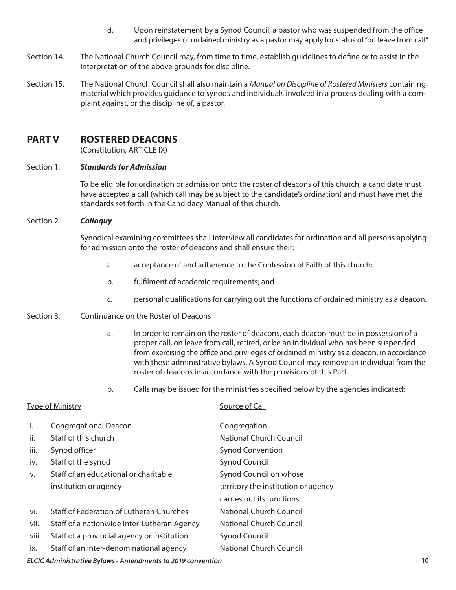- d. Upon reinstatement by a Synod Council, a pastor who was suspended from the office and privileges of ordained ministry as a pastor may apply for status of "on leave from call".
- Section 14. The National Church Council may, from time to time, establish guidelines to define or to assist in the interpretation of the above grounds for discipline.
- Section 15. The National Church Council shall also maintain a *Manual on Discipline of Rostered Ministers* containing material which provides guidance to synods and individuals involved in a process dealing with a complaint against, or the discipline of, a pastor.

## **PART V ROSTERED DEACONS**

(Constitution, ARTICLE IX)

#### Section 1. *Standards for Admission*

To be eligible for ordination or admission onto the roster of deacons of this church, a candidate must have accepted a call (which call may be subject to the candidate's ordination) and must have met the standards set forth in the Candidacy Manual of this church.

Section 2. *Colloquy*

Synodical examining committees shall interview all candidates for ordination and all persons applying for admission onto the roster of deacons and shall ensure their:

- a. acceptance of and adherence to the Confession of Faith of this church;
- b. fulfilment of academic requirements; and
- c. personal qualifications for carrying out the functions of ordained ministry as a deacon.
- Section 3. Continuance on the Roster of Deacons
	- a. In order to remain on the roster of deacons, each deacon must be in possession of a proper call, on leave from call, retired, or be an individual who has been suspended from exercising the office and privileges of ordained ministry as a deacon, in accordance with these administrative bylaws. A Synod Council may remove an individual from the roster of deacons in accordance with the provisions of this Part.
	- b. Calls may be issued for the ministries specified below by the agencies indicated:

|       | <b>Type of Ministry</b>                     | Source of Call                      |  |
|-------|---------------------------------------------|-------------------------------------|--|
| i.    | <b>Congregational Deacon</b>                | Congregation                        |  |
| ii.   | Staff of this church                        | <b>National Church Council</b>      |  |
| iii.  | Synod officer                               | <b>Synod Convention</b>             |  |
| iv.   | Staff of the synod                          | <b>Synod Council</b>                |  |
| v.    | Staff of an educational or charitable       | Synod Council on whose              |  |
|       | institution or agency                       | territory the institution or agency |  |
|       |                                             | carries out its functions           |  |
| vi.   | Staff of Federation of Lutheran Churches    | <b>National Church Council</b>      |  |
| vii.  | Staff of a nationwide Inter-Lutheran Agency | National Church Council             |  |
| viii. | Staff of a provincial agency or institution | <b>Synod Council</b>                |  |
| ix.   | Staff of an inter-denominational agency     | <b>National Church Council</b>      |  |
|       |                                             |                                     |  |

*ELCIC Administrative Bylaws - Amendments to 2019 convention* **10**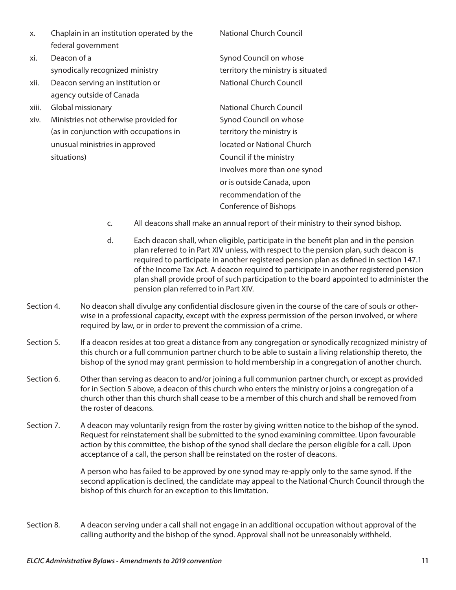- x. Chaplain in an institution operated by the National Church Council federal government
- xi. Deacon of a Synod Council on whose
- xii. Deacon serving an institution or National Church Council agency outside of Canada
- xiii. Global missionary **National Church Council**
- xiv. Ministries not otherwise provided for Synod Council on whose (as in conjunction with occupations in territory the ministry is unusual ministries in approved located or National Church situations) and the ministry council if the ministry

synodically recognized ministry the ministry the ministry is situated

involves more than one synod or is outside Canada, upon recommendation of the Conference of Bishops

- c. All deacons shall make an annual report of their ministry to their synod bishop.
- d. Each deacon shall, when eligible, participate in the benefit plan and in the pension plan referred to in Part XIV unless, with respect to the pension plan, such deacon is required to participate in another registered pension plan as defined in section 147.1 of the Income Tax Act. A deacon required to participate in another registered pension plan shall provide proof of such participation to the board appointed to administer the pension plan referred to in Part XIV.
- Section 4. No deacon shall divulge any confidential disclosure given in the course of the care of souls or otherwise in a professional capacity, except with the express permission of the person involved, or where required by law, or in order to prevent the commission of a crime.
- Section 5. If a deacon resides at too great a distance from any congregation or synodically recognized ministry of this church or a full communion partner church to be able to sustain a living relationship thereto, the bishop of the synod may grant permission to hold membership in a congregation of another church.
- Section 6. Other than serving as deacon to and/or joining a full communion partner church, or except as provided for in Section 5 above, a deacon of this church who enters the ministry or joins a congregation of a church other than this church shall cease to be a member of this church and shall be removed from the roster of deacons.
- Section 7. A deacon may voluntarily resign from the roster by giving written notice to the bishop of the synod. Request for reinstatement shall be submitted to the synod examining committee. Upon favourable action by this committee, the bishop of the synod shall declare the person eligible for a call. Upon acceptance of a call, the person shall be reinstated on the roster of deacons.

A person who has failed to be approved by one synod may re-apply only to the same synod. If the second application is declined, the candidate may appeal to the National Church Council through the bishop of this church for an exception to this limitation.

Section 8. A deacon serving under a call shall not engage in an additional occupation without approval of the calling authority and the bishop of the synod. Approval shall not be unreasonably withheld.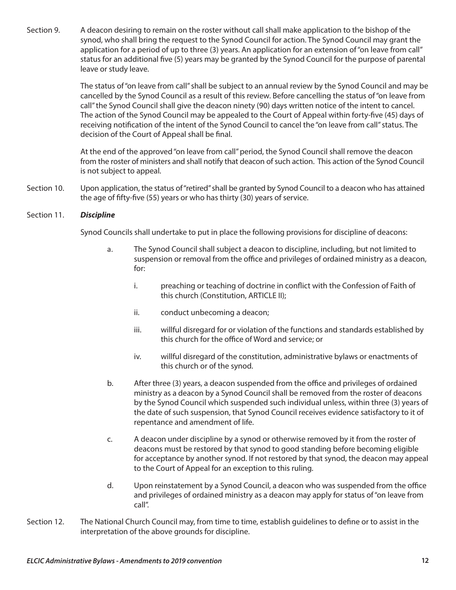Section 9. A deacon desiring to remain on the roster without call shall make application to the bishop of the synod, who shall bring the request to the Synod Council for action. The Synod Council may grant the application for a period of up to three (3) years. An application for an extension of "on leave from call" status for an additional five (5) years may be granted by the Synod Council for the purpose of parental leave or study leave.

> The status of "on leave from call" shall be subject to an annual review by the Synod Council and may be cancelled by the Synod Council as a result of this review. Before cancelling the status of "on leave from call" the Synod Council shall give the deacon ninety (90) days written notice of the intent to cancel. The action of the Synod Council may be appealed to the Court of Appeal within forty-five (45) days of receiving notification of the intent of the Synod Council to cancel the "on leave from call" status. The decision of the Court of Appeal shall be final.

> At the end of the approved "on leave from call" period, the Synod Council shall remove the deacon from the roster of ministers and shall notify that deacon of such action. This action of the Synod Council is not subject to appeal.

Section 10. Upon application, the status of "retired" shall be granted by Synod Council to a deacon who has attained the age of fifty-five (55) years or who has thirty (30) years of service.

#### Section 11. *Discipline*

Synod Councils shall undertake to put in place the following provisions for discipline of deacons:

- a. The Synod Council shall subject a deacon to discipline, including, but not limited to suspension or removal from the office and privileges of ordained ministry as a deacon, for:
	- i. preaching or teaching of doctrine in conflict with the Confession of Faith of this church (Constitution, ARTICLE II);
	- ii. conduct unbecoming a deacon;
	- iii. willful disregard for or violation of the functions and standards established by this church for the office of Word and service; or
	- iv. willful disregard of the constitution, administrative bylaws or enactments of this church or of the synod.
- b. After three (3) years, a deacon suspended from the office and privileges of ordained ministry as a deacon by a Synod Council shall be removed from the roster of deacons by the Synod Council which suspended such individual unless, within three (3) years of the date of such suspension, that Synod Council receives evidence satisfactory to it of repentance and amendment of life.
- c. A deacon under discipline by a synod or otherwise removed by it from the roster of deacons must be restored by that synod to good standing before becoming eligible for acceptance by another synod. If not restored by that synod, the deacon may appeal to the Court of Appeal for an exception to this ruling.
- d. Upon reinstatement by a Synod Council, a deacon who was suspended from the office and privileges of ordained ministry as a deacon may apply for status of "on leave from call".
- Section 12. The National Church Council may, from time to time, establish guidelines to define or to assist in the interpretation of the above grounds for discipline.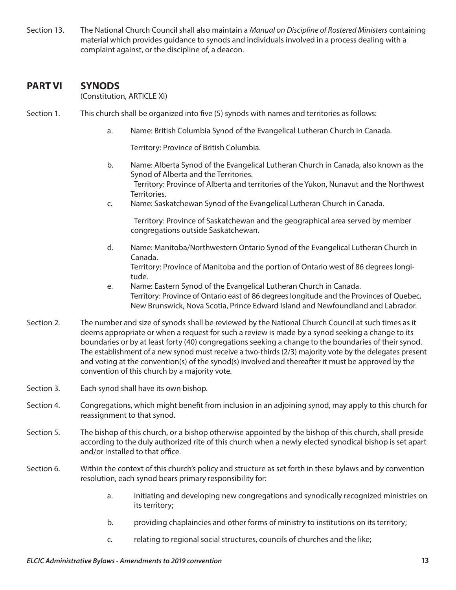Section 13. The National Church Council shall also maintain a *Manual on Discipline of Rostered Ministers* containing material which provides guidance to synods and individuals involved in a process dealing with a complaint against, or the discipline of, a deacon.

## **PART VI SYNODS**

(Constitution, ARTICLE XI)

- Section 1. This church shall be organized into five (5) synods with names and territories as follows:
	- a. Name: British Columbia Synod of the Evangelical Lutheran Church in Canada.

Territory: Province of British Columbia.

- b. Name: Alberta Synod of the Evangelical Lutheran Church in Canada, also known as the Synod of Alberta and the Territories. Territory: Province of Alberta and territories of the Yukon, Nunavut and the Northwest Territories.
- c. Name: Saskatchewan Synod of the Evangelical Lutheran Church in Canada.

Territory: Province of Saskatchewan and the geographical area served by member congregations outside Saskatchewan.

d. Name: Manitoba/Northwestern Ontario Synod of the Evangelical Lutheran Church in Canada.

Territory: Province of Manitoba and the portion of Ontario west of 86 degrees longitude.

- e. Name: Eastern Synod of the Evangelical Lutheran Church in Canada. Territory: Province of Ontario east of 86 degrees longitude and the Provinces of Quebec, New Brunswick, Nova Scotia, Prince Edward Island and Newfoundland and Labrador.
- Section 2. The number and size of synods shall be reviewed by the National Church Council at such times as it deems appropriate or when a request for such a review is made by a synod seeking a change to its boundaries or by at least forty (40) congregations seeking a change to the boundaries of their synod. The establishment of a new synod must receive a two-thirds (2/3) majority vote by the delegates present and voting at the convention(s) of the synod(s) involved and thereafter it must be approved by the convention of this church by a majority vote.
- Section 3. Each synod shall have its own bishop.
- Section 4. Congregations, which might benefit from inclusion in an adjoining synod, may apply to this church for reassignment to that synod.
- Section 5. The bishop of this church, or a bishop otherwise appointed by the bishop of this church, shall preside according to the duly authorized rite of this church when a newly elected synodical bishop is set apart and/or installed to that office.
- Section 6. Within the context of this church's policy and structure as set forth in these bylaws and by convention resolution, each synod bears primary responsibility for:
	- a. initiating and developing new congregations and synodically recognized ministries on its territory;
	- b. providing chaplaincies and other forms of ministry to institutions on its territory;
	- c. relating to regional social structures, councils of churches and the like;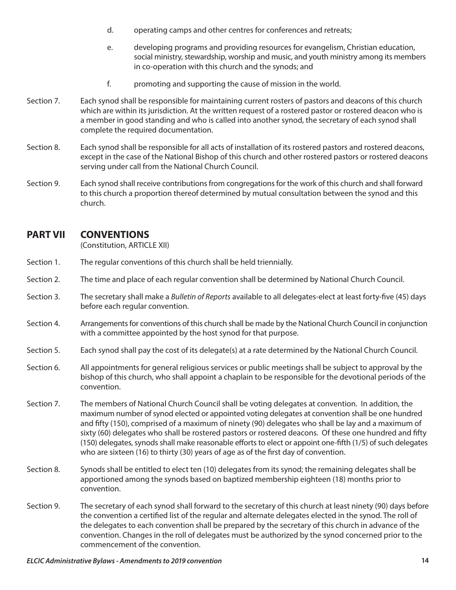- d. operating camps and other centres for conferences and retreats;
- e. developing programs and providing resources for evangelism, Christian education, social ministry, stewardship, worship and music, and youth ministry among its members in co-operation with this church and the synods; and
- f. promoting and supporting the cause of mission in the world.
- Section 7. Each synod shall be responsible for maintaining current rosters of pastors and deacons of this church which are within its jurisdiction. At the written request of a rostered pastor or rostered deacon who is a member in good standing and who is called into another synod, the secretary of each synod shall complete the required documentation.
- Section 8. Each synod shall be responsible for all acts of installation of its rostered pastors and rostered deacons, except in the case of the National Bishop of this church and other rostered pastors or rostered deacons serving under call from the National Church Council.
- Section 9. Each synod shall receive contributions from congregations for the work of this church and shall forward to this church a proportion thereof determined by mutual consultation between the synod and this church.

## **PART VII CONVENTIONS**

(Constitution, ARTICLE XII)

- Section 1. The regular conventions of this church shall be held triennially.
- Section 2. The time and place of each regular convention shall be determined by National Church Council.
- Section 3. The secretary shall make a *Bulletin of Reports* available to all delegates-elect at least forty-five (45) days before each regular convention.
- Section 4. Arrangements for conventions of this church shall be made by the National Church Council in conjunction with a committee appointed by the host synod for that purpose.
- Section 5. Each synod shall pay the cost of its delegate(s) at a rate determined by the National Church Council.
- Section 6. All appointments for general religious services or public meetings shall be subject to approval by the bishop of this church, who shall appoint a chaplain to be responsible for the devotional periods of the convention.
- Section 7. The members of National Church Council shall be voting delegates at convention. In addition, the maximum number of synod elected or appointed voting delegates at convention shall be one hundred and fifty (150), comprised of a maximum of ninety (90) delegates who shall be lay and a maximum of sixty (60) delegates who shall be rostered pastors or rostered deacons. Of these one hundred and fifty (150) delegates, synods shall make reasonable efforts to elect or appoint one-fifth (1/5) of such delegates who are sixteen (16) to thirty (30) years of age as of the first day of convention.
- Section 8. Synods shall be entitled to elect ten (10) delegates from its synod; the remaining delegates shall be apportioned among the synods based on baptized membership eighteen (18) months prior to convention.
- Section 9. The secretary of each synod shall forward to the secretary of this church at least ninety (90) days before the convention a certified list of the regular and alternate delegates elected in the synod. The roll of the delegates to each convention shall be prepared by the secretary of this church in advance of the convention. Changes in the roll of delegates must be authorized by the synod concerned prior to the commencement of the convention.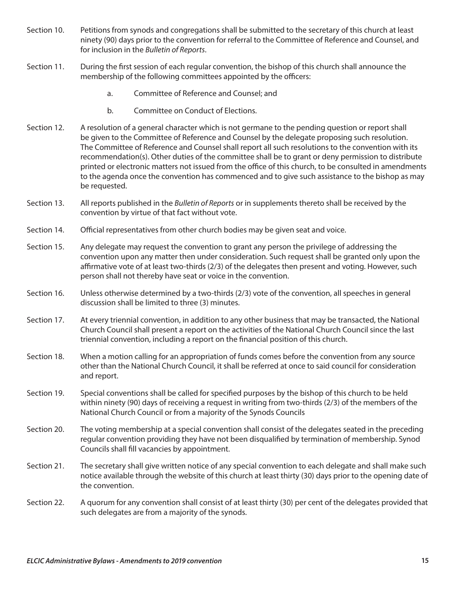- Section 10. Petitions from synods and congregations shall be submitted to the secretary of this church at least ninety (90) days prior to the convention for referral to the Committee of Reference and Counsel, and for inclusion in the *Bulletin of Reports*.
- Section 11. During the first session of each regular convention, the bishop of this church shall announce the membership of the following committees appointed by the officers:
	- a. Committee of Reference and Counsel; and
	- b. Committee on Conduct of Elections.
- Section 12. A resolution of a general character which is not germane to the pending question or report shall be given to the Committee of Reference and Counsel by the delegate proposing such resolution. The Committee of Reference and Counsel shall report all such resolutions to the convention with its recommendation(s). Other duties of the committee shall be to grant or deny permission to distribute printed or electronic matters not issued from the office of this church, to be consulted in amendments to the agenda once the convention has commenced and to give such assistance to the bishop as may be requested.
- Section 13. All reports published in the *Bulletin of Reports* or in supplements thereto shall be received by the convention by virtue of that fact without vote.
- Section 14. Official representatives from other church bodies may be given seat and voice.
- Section 15. Any delegate may request the convention to grant any person the privilege of addressing the convention upon any matter then under consideration. Such request shall be granted only upon the affirmative vote of at least two-thirds (2/3) of the delegates then present and voting. However, such person shall not thereby have seat or voice in the convention.
- Section 16. Unless otherwise determined by a two-thirds (2/3) vote of the convention, all speeches in general discussion shall be limited to three (3) minutes.
- Section 17. At every triennial convention, in addition to any other business that may be transacted, the National Church Council shall present a report on the activities of the National Church Council since the last triennial convention, including a report on the financial position of this church.
- Section 18. When a motion calling for an appropriation of funds comes before the convention from any source other than the National Church Council, it shall be referred at once to said council for consideration and report.
- Section 19. Special conventions shall be called for specified purposes by the bishop of this church to be held within ninety (90) days of receiving a request in writing from two-thirds (2/3) of the members of the National Church Council or from a majority of the Synods Councils
- Section 20. The voting membership at a special convention shall consist of the delegates seated in the preceding regular convention providing they have not been disqualified by termination of membership. Synod Councils shall fill vacancies by appointment.
- Section 21. The secretary shall give written notice of any special convention to each delegate and shall make such notice available through the website of this church at least thirty (30) days prior to the opening date of the convention.
- Section 22. A quorum for any convention shall consist of at least thirty (30) per cent of the delegates provided that such delegates are from a majority of the synods.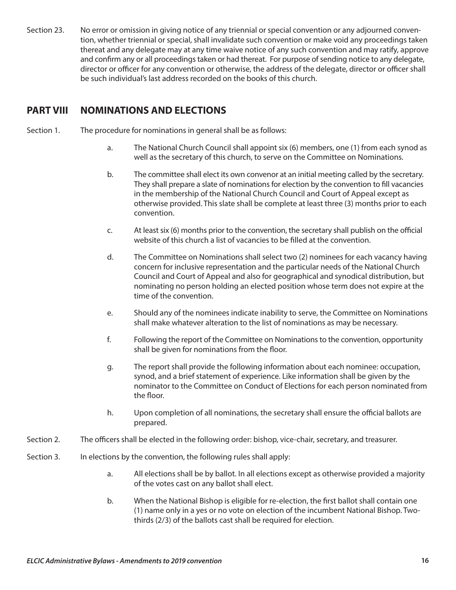Section 23. No error or omission in giving notice of any triennial or special convention or any adjourned convention, whether triennial or special, shall invalidate such convention or make void any proceedings taken thereat and any delegate may at any time waive notice of any such convention and may ratify, approve and confirm any or all proceedings taken or had thereat. For purpose of sending notice to any delegate, director or officer for any convention or otherwise, the address of the delegate, director or officer shall be such individual's last address recorded on the books of this church.

## **PART VIII NOMINATIONS AND ELECTIONS**

- Section 1. The procedure for nominations in general shall be as follows:
	- a. The National Church Council shall appoint six (6) members, one (1) from each synod as well as the secretary of this church, to serve on the Committee on Nominations.
	- b. The committee shall elect its own convenor at an initial meeting called by the secretary. They shall prepare a slate of nominations for election by the convention to fill vacancies in the membership of the National Church Council and Court of Appeal except as otherwise provided. This slate shall be complete at least three (3) months prior to each convention.
	- c. At least six (6) months prior to the convention, the secretary shall publish on the official website of this church a list of vacancies to be filled at the convention.
	- d. The Committee on Nominations shall select two (2) nominees for each vacancy having concern for inclusive representation and the particular needs of the National Church Council and Court of Appeal and also for geographical and synodical distribution, but nominating no person holding an elected position whose term does not expire at the time of the convention.
	- e. Should any of the nominees indicate inability to serve, the Committee on Nominations shall make whatever alteration to the list of nominations as may be necessary.
	- f. Following the report of the Committee on Nominations to the convention, opportunity shall be given for nominations from the floor.
	- g. The report shall provide the following information about each nominee: occupation, synod, and a brief statement of experience. Like information shall be given by the nominator to the Committee on Conduct of Elections for each person nominated from the floor.
	- h. Upon completion of all nominations, the secretary shall ensure the official ballots are prepared.
- Section 2. The officers shall be elected in the following order: bishop, vice-chair, secretary, and treasurer.
- Section 3. In elections by the convention, the following rules shall apply:
	- a. All elections shall be by ballot. In all elections except as otherwise provided a majority of the votes cast on any ballot shall elect.
	- b. When the National Bishop is eligible for re-election, the first ballot shall contain one (1) name only in a yes or no vote on election of the incumbent National Bishop. Twothirds (2/3) of the ballots cast shall be required for election.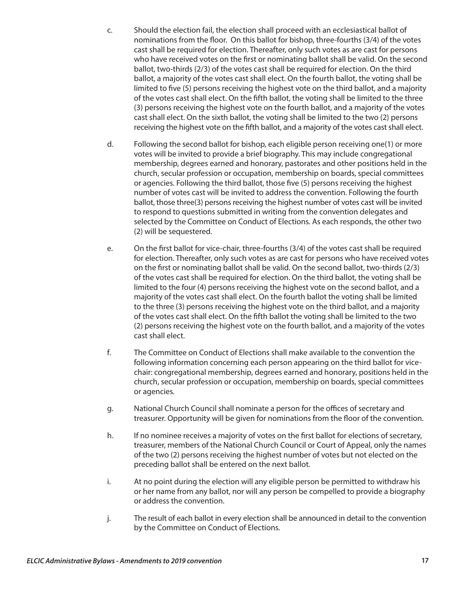- c. Should the election fail, the election shall proceed with an ecclesiastical ballot of nominations from the floor. On this ballot for bishop, three-fourths (3/4) of the votes cast shall be required for election. Thereafter, only such votes as are cast for persons who have received votes on the first or nominating ballot shall be valid. On the second ballot, two-thirds (2/3) of the votes cast shall be required for election. On the third ballot, a majority of the votes cast shall elect. On the fourth ballot, the voting shall be limited to five (5) persons receiving the highest vote on the third ballot, and a majority of the votes cast shall elect. On the fifth ballot, the voting shall be limited to the three (3) persons receiving the highest vote on the fourth ballot, and a majority of the votes cast shall elect. On the sixth ballot, the voting shall be limited to the two (2) persons receiving the highest vote on the fifth ballot, and a majority of the votes cast shall elect.
- d. Following the second ballot for bishop, each eligible person receiving one(1) or more votes will be invited to provide a brief biography. This may include congregational membership, degrees earned and honorary, pastorates and other positions held in the church, secular profession or occupation, membership on boards, special committees or agencies. Following the third ballot, those five (5) persons receiving the highest number of votes cast will be invited to address the convention. Following the fourth ballot, those three(3) persons receiving the highest number of votes cast will be invited to respond to questions submitted in writing from the convention delegates and selected by the Committee on Conduct of Elections. As each responds, the other two (2) will be sequestered.
- e. On the first ballot for vice-chair, three-fourths (3/4) of the votes cast shall be required for election. Thereafter, only such votes as are cast for persons who have received votes on the first or nominating ballot shall be valid. On the second ballot, two-thirds (2/3) of the votes cast shall be required for election. On the third ballot, the voting shall be limited to the four (4) persons receiving the highest vote on the second ballot, and a majority of the votes cast shall elect. On the fourth ballot the voting shall be limited to the three (3) persons receiving the highest vote on the third ballot, and a majority of the votes cast shall elect. On the fifth ballot the voting shall be limited to the two (2) persons receiving the highest vote on the fourth ballot, and a majority of the votes cast shall elect.
- f. The Committee on Conduct of Elections shall make available to the convention the following information concerning each person appearing on the third ballot for vicechair: congregational membership, degrees earned and honorary, positions held in the church, secular profession or occupation, membership on boards, special committees or agencies.
- g. National Church Council shall nominate a person for the offices of secretary and treasurer. Opportunity will be given for nominations from the floor of the convention.
- h. If no nominee receives a majority of votes on the first ballot for elections of secretary, treasurer, members of the National Church Council or Court of Appeal, only the names of the two (2) persons receiving the highest number of votes but not elected on the preceding ballot shall be entered on the next ballot.
- i. At no point during the election will any eligible person be permitted to withdraw his or her name from any ballot, nor will any person be compelled to provide a biography or address the convention.
- j. The result of each ballot in every election shall be announced in detail to the convention by the Committee on Conduct of Elections.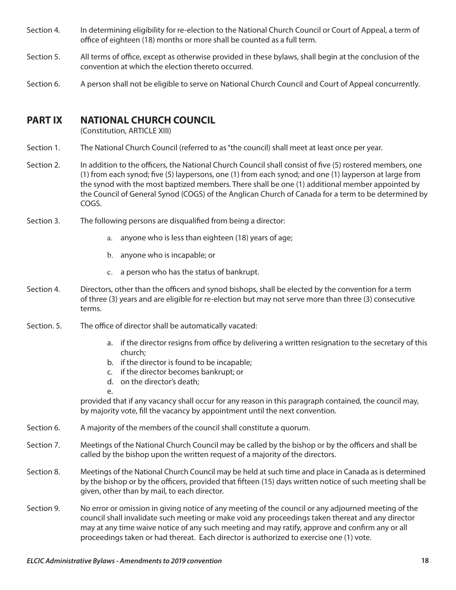- Section 4. In determining eligibility for re-election to the National Church Council or Court of Appeal, a term of office of eighteen (18) months or more shall be counted as a full term.
- Section 5. All terms of office, except as otherwise provided in these bylaws, shall begin at the conclusion of the convention at which the election thereto occurred.
- Section 6. A person shall not be eligible to serve on National Church Council and Court of Appeal concurrently.

## **PART IX NATIONAL CHURCH COUNCIL**

(Constitution, ARTICLE XIII)

- Section 1. The National Church Council (referred to as "the council) shall meet at least once per year.
- Section 2. In addition to the officers, the National Church Council shall consist of five (5) rostered members, one (1) from each synod; five (5) laypersons, one (1) from each synod; and one (1) layperson at large from the synod with the most baptized members. There shall be one (1) additional member appointed by the Council of General Synod (COGS) of the Anglican Church of Canada for a term to be determined by COGS.
- Section 3. The following persons are disqualified from being a director:
	- a. anyone who is less than eighteen (18) years of age;
	- b. anyone who is incapable; or
	- c. a person who has the status of bankrupt.
- Section 4. Directors, other than the officers and synod bishops, shall be elected by the convention for a term of three (3) years and are eligible for re-election but may not serve more than three (3) consecutive terms.
- Section. 5. The office of director shall be automatically vacated:
	- a. if the director resigns from office by delivering a written resignation to the secretary of this church;
	- b. if the director is found to be incapable;
	- c. if the director becomes bankrupt; or
	- d. on the director's death;
	-

e.

provided that if any vacancy shall occur for any reason in this paragraph contained, the council may, by majority vote, fill the vacancy by appointment until the next convention.

- Section 6. A majority of the members of the council shall constitute a quorum.
- Section 7. Meetings of the National Church Council may be called by the bishop or by the officers and shall be called by the bishop upon the written request of a majority of the directors.
- Section 8. Meetings of the National Church Council may be held at such time and place in Canada as is determined by the bishop or by the officers, provided that fifteen (15) days written notice of such meeting shall be given, other than by mail, to each director.
- Section 9. No error or omission in giving notice of any meeting of the council or any adjourned meeting of the council shall invalidate such meeting or make void any proceedings taken thereat and any director may at any time waive notice of any such meeting and may ratify, approve and confirm any or all proceedings taken or had thereat. Each director is authorized to exercise one (1) vote.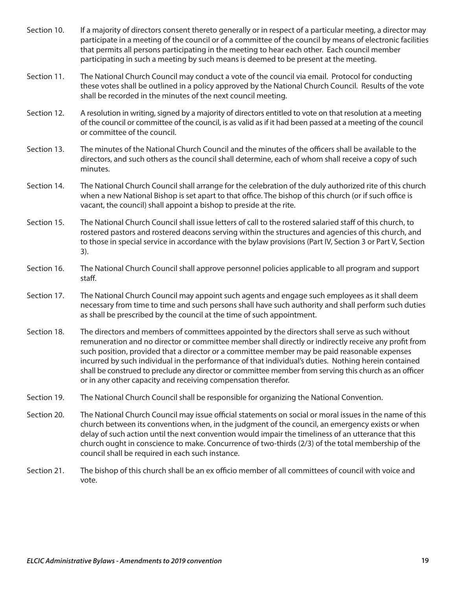- Section 10. If a majority of directors consent thereto generally or in respect of a particular meeting, a director may participate in a meeting of the council or of a committee of the council by means of electronic facilities that permits all persons participating in the meeting to hear each other. Each council member participating in such a meeting by such means is deemed to be present at the meeting.
- Section 11. The National Church Council may conduct a vote of the council via email. Protocol for conducting these votes shall be outlined in a policy approved by the National Church Council. Results of the vote shall be recorded in the minutes of the next council meeting.
- Section 12. A resolution in writing, signed by a majority of directors entitled to vote on that resolution at a meeting of the council or committee of the council, is as valid as if it had been passed at a meeting of the council or committee of the council.
- Section 13. The minutes of the National Church Council and the minutes of the officers shall be available to the directors, and such others as the council shall determine, each of whom shall receive a copy of such minutes.
- Section 14. The National Church Council shall arrange for the celebration of the duly authorized rite of this church when a new National Bishop is set apart to that office. The bishop of this church (or if such office is vacant, the council) shall appoint a bishop to preside at the rite.
- Section 15. The National Church Council shall issue letters of call to the rostered salaried staff of this church, to rostered pastors and rostered deacons serving within the structures and agencies of this church, and to those in special service in accordance with the bylaw provisions (Part IV, Section 3 or Part V, Section 3).
- Section 16. The National Church Council shall approve personnel policies applicable to all program and support staff.
- Section 17. The National Church Council may appoint such agents and engage such employees as it shall deem necessary from time to time and such persons shall have such authority and shall perform such duties as shall be prescribed by the council at the time of such appointment.
- Section 18. The directors and members of committees appointed by the directors shall serve as such without remuneration and no director or committee member shall directly or indirectly receive any profit from such position, provided that a director or a committee member may be paid reasonable expenses incurred by such individual in the performance of that individual's duties. Nothing herein contained shall be construed to preclude any director or committee member from serving this church as an officer or in any other capacity and receiving compensation therefor.
- Section 19. The National Church Council shall be responsible for organizing the National Convention.
- Section 20. The National Church Council may issue official statements on social or moral issues in the name of this church between its conventions when, in the judgment of the council, an emergency exists or when delay of such action until the next convention would impair the timeliness of an utterance that this church ought in conscience to make. Concurrence of two-thirds (2/3) of the total membership of the council shall be required in each such instance.
- Section 21. The bishop of this church shall be an ex officio member of all committees of council with voice and vote.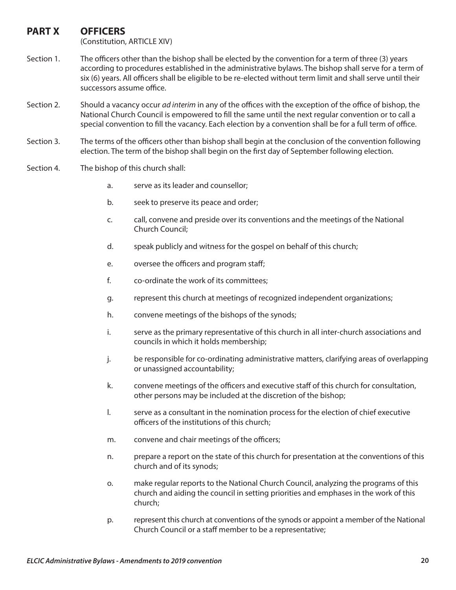## **PART X OFFICERS**

(Constitution, ARTICLE XIV)

- Section 1. The officers other than the bishop shall be elected by the convention for a term of three (3) years according to procedures established in the administrative bylaws. The bishop shall serve for a term of six (6) years. All officers shall be eligible to be re-elected without term limit and shall serve until their successors assume office.
- Section 2. Should a vacancy occur *ad interim* in any of the offices with the exception of the office of bishop, the National Church Council is empowered to fill the same until the next regular convention or to call a special convention to fill the vacancy. Each election by a convention shall be for a full term of office.
- Section 3. The terms of the officers other than bishop shall begin at the conclusion of the convention following election. The term of the bishop shall begin on the first day of September following election.
- Section 4. The bishop of this church shall:
	- a. serve as its leader and counsellor;
	- b. seek to preserve its peace and order;
	- c. call, convene and preside over its conventions and the meetings of the National Church Council;
	- d. speak publicly and witness for the gospel on behalf of this church;
	- e. oversee the officers and program staff;
	- f. co-ordinate the work of its committees;
	- g. represent this church at meetings of recognized independent organizations;
	- h. convene meetings of the bishops of the synods;
	- i. serve as the primary representative of this church in all inter-church associations and councils in which it holds membership;
	- j. be responsible for co-ordinating administrative matters, clarifying areas of overlapping or unassigned accountability;
	- k. convene meetings of the officers and executive staff of this church for consultation, other persons may be included at the discretion of the bishop;
	- l. serve as a consultant in the nomination process for the election of chief executive officers of the institutions of this church;
	- m. convene and chair meetings of the officers;
	- n. prepare a report on the state of this church for presentation at the conventions of this church and of its synods;
	- o. make regular reports to the National Church Council, analyzing the programs of this church and aiding the council in setting priorities and emphases in the work of this church;
	- p. represent this church at conventions of the synods or appoint a member of the National Church Council or a staff member to be a representative;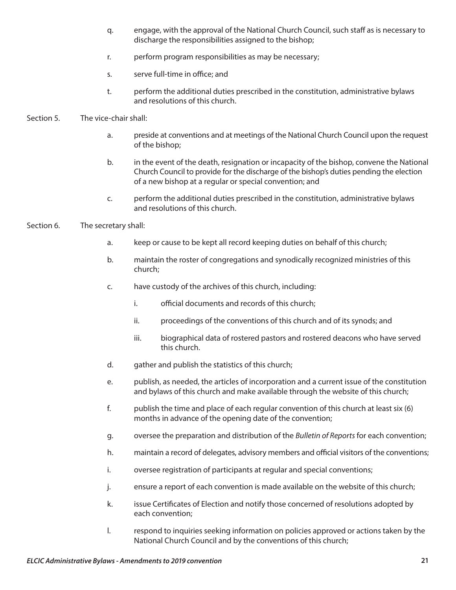- q. engage, with the approval of the National Church Council, such staff as is necessary to discharge the responsibilities assigned to the bishop;
- r. perform program responsibilities as may be necessary;
- s. serve full-time in office; and
- t. perform the additional duties prescribed in the constitution, administrative bylaws and resolutions of this church.

#### Section 5. The vice-chair shall:

- a. preside at conventions and at meetings of the National Church Council upon the request of the bishop;
- b. in the event of the death, resignation or incapacity of the bishop, convene the National Church Council to provide for the discharge of the bishop's duties pending the election of a new bishop at a regular or special convention; and
- c. perform the additional duties prescribed in the constitution, administrative bylaws and resolutions of this church.
- Section 6. The secretary shall:
	- a. keep or cause to be kept all record keeping duties on behalf of this church;
	- b. maintain the roster of congregations and synodically recognized ministries of this church;
	- c. have custody of the archives of this church, including:
		- i. official documents and records of this church;
		- ii. proceedings of the conventions of this church and of its synods; and
		- iii. biographical data of rostered pastors and rostered deacons who have served this church.
	- d. gather and publish the statistics of this church;
	- e. publish, as needed, the articles of incorporation and a current issue of the constitution and bylaws of this church and make available through the website of this church;
	- f. publish the time and place of each regular convention of this church at least six (6) months in advance of the opening date of the convention;
	- g. oversee the preparation and distribution of the *Bulletin of Reports* for each convention;
	- h. maintain a record of delegates, advisory members and official visitors of the conventions;
	- i. oversee registration of participants at regular and special conventions;
	- j. ensure a report of each convention is made available on the website of this church;
	- k. issue Certificates of Election and notify those concerned of resolutions adopted by each convention;
	- l. respond to inquiries seeking information on policies approved or actions taken by the National Church Council and by the conventions of this church;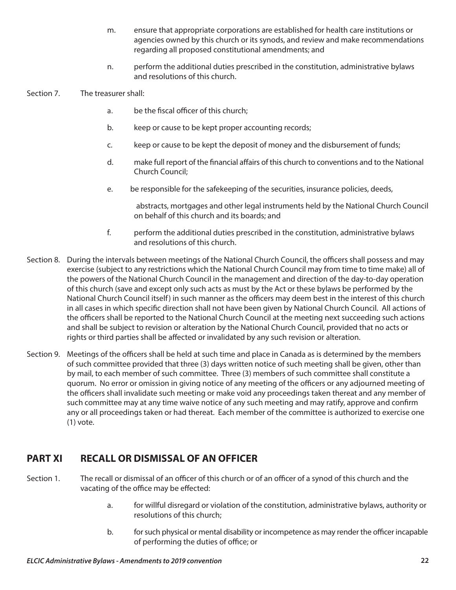- m. ensure that appropriate corporations are established for health care institutions or agencies owned by this church or its synods, and review and make recommendations regarding all proposed constitutional amendments; and
- n. perform the additional duties prescribed in the constitution, administrative bylaws and resolutions of this church.
- Section 7. The treasurer shall:
	- a. be the fiscal officer of this church;
	- b. keep or cause to be kept proper accounting records;
	- c. keep or cause to be kept the deposit of money and the disbursement of funds;
	- d. make full report of the financial affairs of this church to conventions and to the National Church Council;
	- e. be responsible for the safekeeping of the securities, insurance policies, deeds,

abstracts, mortgages and other legal instruments held by the National Church Council on behalf of this church and its boards; and

- f. perform the additional duties prescribed in the constitution, administrative bylaws and resolutions of this church.
- Section 8. During the intervals between meetings of the National Church Council, the officers shall possess and may exercise (subject to any restrictions which the National Church Council may from time to time make) all of the powers of the National Church Council in the management and direction of the day-to-day operation of this church (save and except only such acts as must by the Act or these bylaws be performed by the National Church Council itself) in such manner as the officers may deem best in the interest of this church in all cases in which specific direction shall not have been given by National Church Council. All actions of the officers shall be reported to the National Church Council at the meeting next succeeding such actions and shall be subject to revision or alteration by the National Church Council, provided that no acts or rights or third parties shall be affected or invalidated by any such revision or alteration.
- Section 9. Meetings of the officers shall be held at such time and place in Canada as is determined by the members of such committee provided that three (3) days written notice of such meeting shall be given, other than by mail, to each member of such committee. Three (3) members of such committee shall constitute a quorum. No error or omission in giving notice of any meeting of the officers or any adjourned meeting of the officers shall invalidate such meeting or make void any proceedings taken thereat and any member of such committee may at any time waive notice of any such meeting and may ratify, approve and confirm any or all proceedings taken or had thereat. Each member of the committee is authorized to exercise one (1) vote.

## **PART XI RECALL OR DISMISSAL OF AN OFFICER**

- Section 1. The recall or dismissal of an officer of this church or of an officer of a synod of this church and the vacating of the office may be effected:
	- a. for willful disregard or violation of the constitution, administrative bylaws, authority or resolutions of this church;
	- b. for such physical or mental disability or incompetence as may render the officer incapable of performing the duties of office; or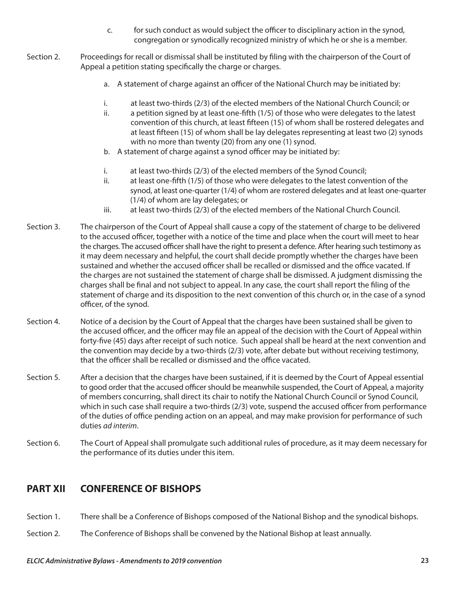- c. for such conduct as would subject the officer to disciplinary action in the synod, congregation or synodically recognized ministry of which he or she is a member.
- Section 2. Proceedings for recall or dismissal shall be instituted by filing with the chairperson of the Court of Appeal a petition stating specifically the charge or charges.
	- a. A statement of charge against an officer of the National Church may be initiated by:
	- i. at least two-thirds (2/3) of the elected members of the National Church Council; or
	- ii. a petition signed by at least one-fifth (1/5) of those who were delegates to the latest convention of this church, at least fifteen (15) of whom shall be rostered delegates and at least fifteen (15) of whom shall be lay delegates representing at least two (2) synods with no more than twenty (20) from any one (1) synod.
	- b. A statement of charge against a synod officer may be initiated by:
	- i. at least two-thirds (2/3) of the elected members of the Synod Council;
	- ii. at least one-fifth (1/5) of those who were delegates to the latest convention of the synod, at least one-quarter (1/4) of whom are rostered delegates and at least one-quarter (1/4) of whom are lay delegates; or
	- iii. at least two-thirds (2/3) of the elected members of the National Church Council.
- Section 3. The chairperson of the Court of Appeal shall cause a copy of the statement of charge to be delivered to the accused officer, together with a notice of the time and place when the court will meet to hear the charges. The accused officer shall have the right to present a defence. After hearing such testimony as it may deem necessary and helpful, the court shall decide promptly whether the charges have been sustained and whether the accused officer shall be recalled or dismissed and the office vacated. If the charges are not sustained the statement of charge shall be dismissed. A judgment dismissing the charges shall be final and not subject to appeal. In any case, the court shall report the filing of the statement of charge and its disposition to the next convention of this church or, in the case of a synod officer, of the synod.
- Section 4. Notice of a decision by the Court of Appeal that the charges have been sustained shall be given to the accused officer, and the officer may file an appeal of the decision with the Court of Appeal within forty-five (45) days after receipt of such notice. Such appeal shall be heard at the next convention and the convention may decide by a two-thirds (2/3) vote, after debate but without receiving testimony, that the officer shall be recalled or dismissed and the office vacated.
- Section 5. After a decision that the charges have been sustained, if it is deemed by the Court of Appeal essential to good order that the accused officer should be meanwhile suspended, the Court of Appeal, a majority of members concurring, shall direct its chair to notify the National Church Council or Synod Council, which in such case shall require a two-thirds (2/3) vote, suspend the accused officer from performance of the duties of office pending action on an appeal, and may make provision for performance of such duties *ad interim*.
- Section 6. The Court of Appeal shall promulgate such additional rules of procedure, as it may deem necessary for the performance of its duties under this item.

## **PART XII CONFERENCE OF BISHOPS**

- Section 1. There shall be a Conference of Bishops composed of the National Bishop and the synodical bishops.
- Section 2. The Conference of Bishops shall be convened by the National Bishop at least annually.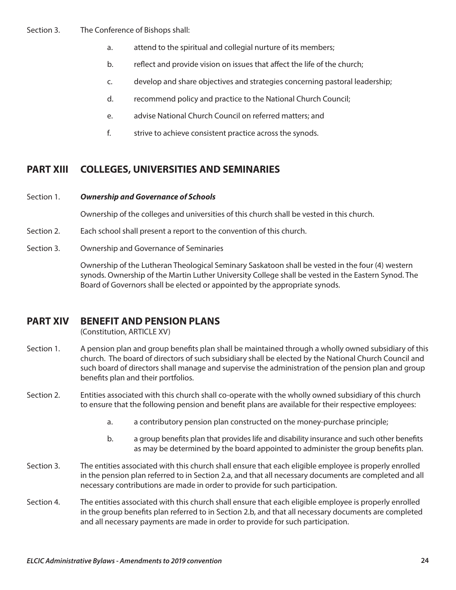#### Section 3. The Conference of Bishops shall:

- a. attend to the spiritual and collegial nurture of its members;
- b. reflect and provide vision on issues that affect the life of the church;
- c. develop and share objectives and strategies concerning pastoral leadership;
- d. recommend policy and practice to the National Church Council;
- e. advise National Church Council on referred matters; and
- f. strive to achieve consistent practice across the synods.

## **PART XIII COLLEGES, UNIVERSITIES AND SEMINARIES**

#### Section 1. *Ownership and Governance of Schools*

Ownership of the colleges and universities of this church shall be vested in this church.

- Section 2. Each school shall present a report to the convention of this church.
- Section 3. Ownership and Governance of Seminaries

Ownership of the Lutheran Theological Seminary Saskatoon shall be vested in the four (4) western synods. Ownership of the Martin Luther University College shall be vested in the Eastern Synod. The Board of Governors shall be elected or appointed by the appropriate synods.

## **PART XIV BENEFIT AND PENSION PLANS**

(Constitution, ARTICLE XV)

- Section 1. A pension plan and group benefits plan shall be maintained through a wholly owned subsidiary of this church. The board of directors of such subsidiary shall be elected by the National Church Council and such board of directors shall manage and supervise the administration of the pension plan and group benefits plan and their portfolios.
- Section 2. Entities associated with this church shall co-operate with the wholly owned subsidiary of this church to ensure that the following pension and benefit plans are available for their respective employees:
	- a. a contributory pension plan constructed on the money-purchase principle;
	- b. a group benefits plan that provides life and disability insurance and such other benefits as may be determined by the board appointed to administer the group benefits plan.
- Section 3. The entities associated with this church shall ensure that each eligible employee is properly enrolled in the pension plan referred to in Section 2.a, and that all necessary documents are completed and all necessary contributions are made in order to provide for such participation.
- Section 4. The entities associated with this church shall ensure that each eligible employee is properly enrolled in the group benefits plan referred to in Section 2.b, and that all necessary documents are completed and all necessary payments are made in order to provide for such participation.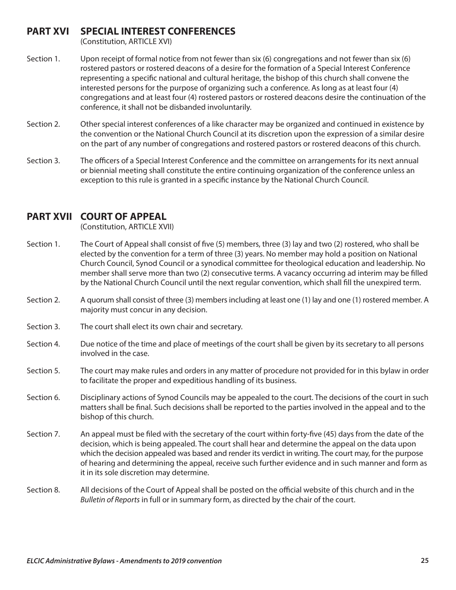## **PART XVI SPECIAL INTEREST CONFERENCES**

(Constitution, ARTICLE XVI)

- Section 1. Upon receipt of formal notice from not fewer than six (6) congregations and not fewer than six (6) rostered pastors or rostered deacons of a desire for the formation of a Special Interest Conference representing a specific national and cultural heritage, the bishop of this church shall convene the interested persons for the purpose of organizing such a conference. As long as at least four (4) congregations and at least four (4) rostered pastors or rostered deacons desire the continuation of the conference, it shall not be disbanded involuntarily.
- Section 2. Other special interest conferences of a like character may be organized and continued in existence by the convention or the National Church Council at its discretion upon the expression of a similar desire on the part of any number of congregations and rostered pastors or rostered deacons of this church.
- Section 3. The officers of a Special Interest Conference and the committee on arrangements for its next annual or biennial meeting shall constitute the entire continuing organization of the conference unless an exception to this rule is granted in a specific instance by the National Church Council.

## **PART XVII COURT OF APPEAL**

(Constitution, ARTICLE XVII)

- Section 1. The Court of Appeal shall consist of five (5) members, three (3) lay and two (2) rostered, who shall be elected by the convention for a term of three (3) years. No member may hold a position on National Church Council, Synod Council or a synodical committee for theological education and leadership. No member shall serve more than two (2) consecutive terms. A vacancy occurring ad interim may be filled by the National Church Council until the next regular convention, which shall fill the unexpired term.
- Section 2. A quorum shall consist of three (3) members including at least one (1) lay and one (1) rostered member. A majority must concur in any decision.
- Section 3. The court shall elect its own chair and secretary.
- Section 4. Due notice of the time and place of meetings of the court shall be given by its secretary to all persons involved in the case.
- Section 5. The court may make rules and orders in any matter of procedure not provided for in this bylaw in order to facilitate the proper and expeditious handling of its business.
- Section 6. Disciplinary actions of Synod Councils may be appealed to the court. The decisions of the court in such matters shall be final. Such decisions shall be reported to the parties involved in the appeal and to the bishop of this church.
- Section 7. An appeal must be filed with the secretary of the court within forty-five (45) days from the date of the decision, which is being appealed. The court shall hear and determine the appeal on the data upon which the decision appealed was based and render its verdict in writing. The court may, for the purpose of hearing and determining the appeal, receive such further evidence and in such manner and form as it in its sole discretion may determine.
- Section 8. All decisions of the Court of Appeal shall be posted on the official website of this church and in the *Bulletin of Reports* in full or in summary form, as directed by the chair of the court.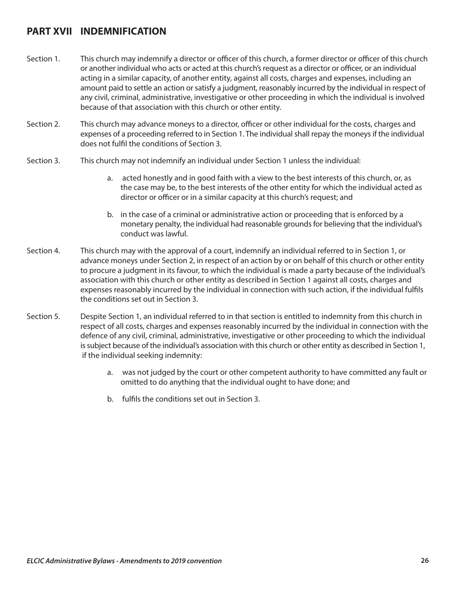## **PART XVII INDEMNIFICATION**

- Section 1. This church may indemnify a director or officer of this church, a former director or officer of this church or another individual who acts or acted at this church's request as a director or officer, or an individual acting in a similar capacity, of another entity, against all costs, charges and expenses, including an amount paid to settle an action or satisfy a judgment, reasonably incurred by the individual in respect of any civil, criminal, administrative, investigative or other proceeding in which the individual is involved because of that association with this church or other entity.
- Section 2. This church may advance moneys to a director, officer or other individual for the costs, charges and expenses of a proceeding referred to in Section 1. The individual shall repay the moneys if the individual does not fulfil the conditions of Section 3.
- Section 3. This church may not indemnify an individual under Section 1 unless the individual:
	- a. acted honestly and in good faith with a view to the best interests of this church, or, as the case may be, to the best interests of the other entity for which the individual acted as director or officer or in a similar capacity at this church's request; and
	- b. in the case of a criminal or administrative action or proceeding that is enforced by a monetary penalty, the individual had reasonable grounds for believing that the individual's conduct was lawful.
- Section 4. This church may with the approval of a court, indemnify an individual referred to in Section 1, or advance moneys under Section 2, in respect of an action by or on behalf of this church or other entity to procure a judgment in its favour, to which the individual is made a party because of the individual's association with this church or other entity as described in Section 1 against all costs, charges and expenses reasonably incurred by the individual in connection with such action, if the individual fulfils the conditions set out in Section 3.
- Section 5. Despite Section 1, an individual referred to in that section is entitled to indemnity from this church in respect of all costs, charges and expenses reasonably incurred by the individual in connection with the defence of any civil, criminal, administrative, investigative or other proceeding to which the individual is subject because of the individual's association with this church or other entity as described in Section 1, if the individual seeking indemnity:
	- a. was not judged by the court or other competent authority to have committed any fault or omitted to do anything that the individual ought to have done; and
	- b. fulfils the conditions set out in Section 3.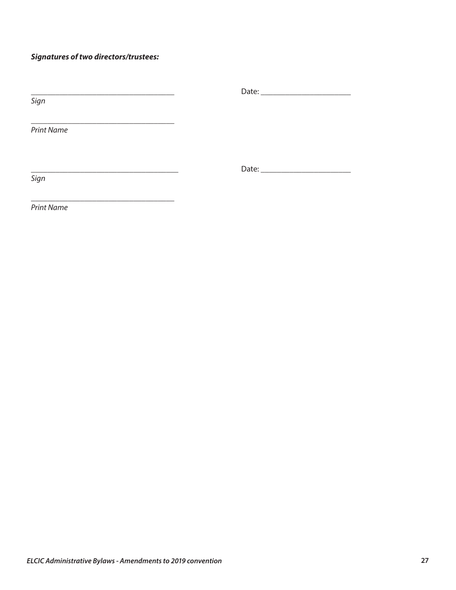## *Signatures of two directors/trustees:*

| Sign              |  |
|-------------------|--|
|                   |  |
| <b>Print Name</b> |  |
|                   |  |
|                   |  |
| Sign              |  |
|                   |  |

*Print Name*